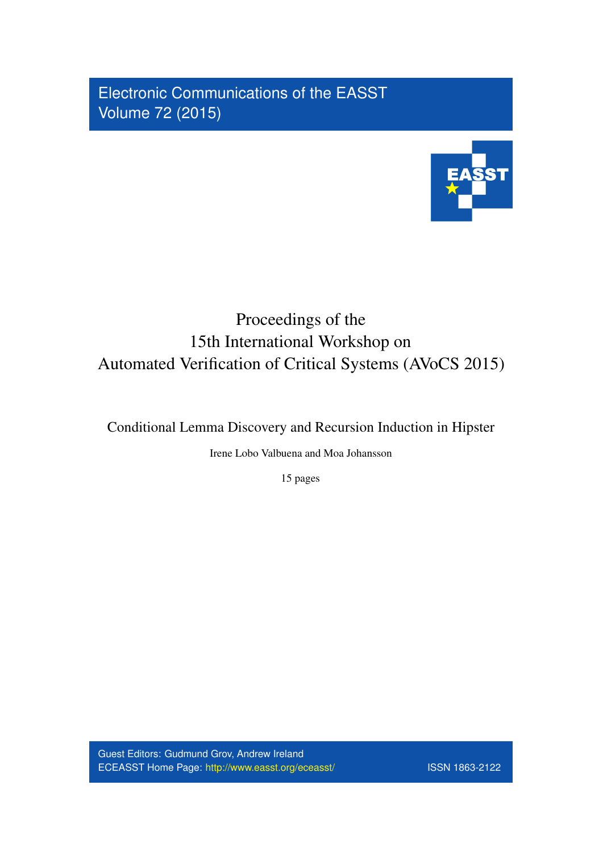Electronic Communications of the EASST Volume 72 (2015)



# Proceedings of the 15th International Workshop on Automated Verification of Critical Systems (AVoCS 2015)

Conditional Lemma Discovery and Recursion Induction in Hipster

Irene Lobo Valbuena and Moa Johansson

15 pages

Guest Editors: Gudmund Grov, Andrew Ireland ECEASST Home Page: <http://www.easst.org/eceasst/> ISSN 1863-2122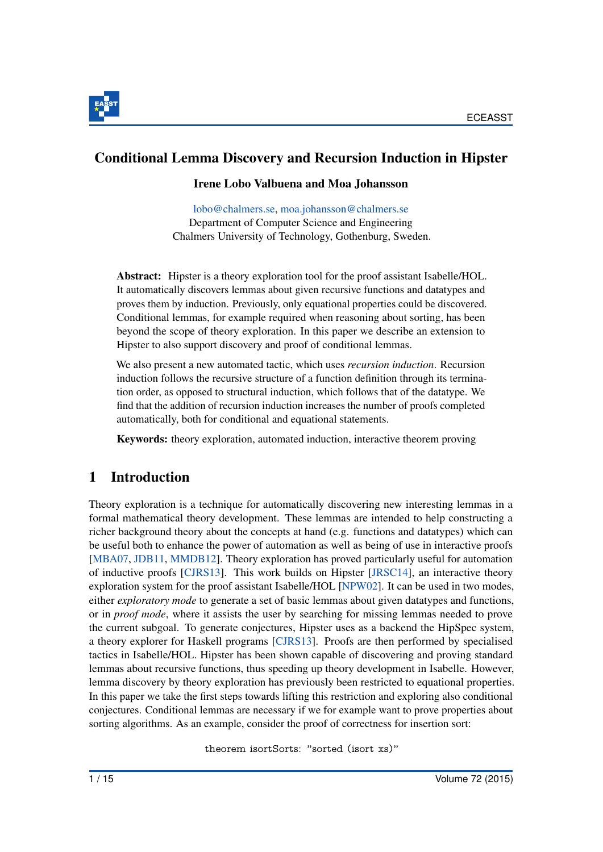

# Conditional Lemma Discovery and Recursion Induction in Hipster

#### Irene Lobo Valbuena and Moa Johansson

[lobo@chalmers.se,](mailto:lobo@chalmers.se) [moa.johansson@chalmers.se](mailto:moa.johansson@chalmers.se) Department of Computer Science and Engineering Chalmers University of Technology, Gothenburg, Sweden.

Abstract: Hipster is a theory exploration tool for the proof assistant Isabelle/HOL. It automatically discovers lemmas about given recursive functions and datatypes and proves them by induction. Previously, only equational properties could be discovered. Conditional lemmas, for example required when reasoning about sorting, has been beyond the scope of theory exploration. In this paper we describe an extension to Hipster to also support discovery and proof of conditional lemmas.

We also present a new automated tactic, which uses *recursion induction*. Recursion induction follows the recursive structure of a function definition through its termination order, as opposed to structural induction, which follows that of the datatype. We find that the addition of recursion induction increases the number of proofs completed automatically, both for conditional and equational statements.

Keywords: theory exploration, automated induction, interactive theorem proving

# 1 Introduction

Theory exploration is a technique for automatically discovering new interesting lemmas in a formal mathematical theory development. These lemmas are intended to help constructing a richer background theory about the concepts at hand (e.g. functions and datatypes) which can be useful both to enhance the power of automation as well as being of use in interactive proofs [\[MBA07,](#page-15-0) [JDB11,](#page-15-1) [MMDB12\]](#page-15-2). Theory exploration has proved particularly useful for automation of inductive proofs [\[CJRS13\]](#page-14-0). This work builds on Hipster [\[JRSC14\]](#page-15-3), an interactive theory exploration system for the proof assistant Isabelle/HOL [\[NPW02\]](#page-15-4). It can be used in two modes, either *exploratory mode* to generate a set of basic lemmas about given datatypes and functions, or in *proof mode*, where it assists the user by searching for missing lemmas needed to prove the current subgoal. To generate conjectures, Hipster uses as a backend the HipSpec system, a theory explorer for Haskell programs [\[CJRS13\]](#page-14-0). Proofs are then performed by specialised tactics in Isabelle/HOL. Hipster has been shown capable of discovering and proving standard lemmas about recursive functions, thus speeding up theory development in Isabelle. However, lemma discovery by theory exploration has previously been restricted to equational properties. In this paper we take the first steps towards lifting this restriction and exploring also conditional conjectures. Conditional lemmas are necessary if we for example want to prove properties about sorting algorithms. As an example, consider the proof of correctness for insertion sort:

theorem isortSorts: "sorted (isort xs)"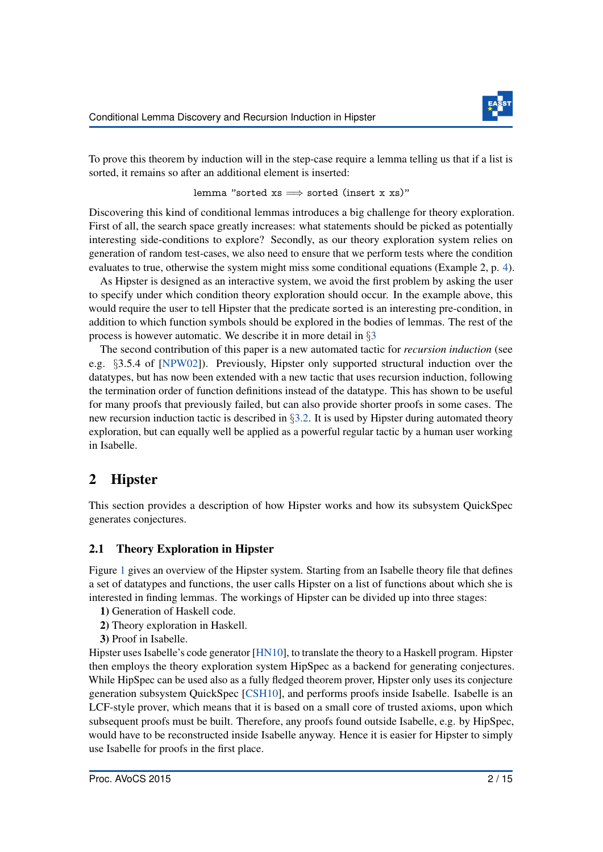

To prove this theorem by induction will in the step-case require a lemma telling us that if a list is sorted, it remains so after an additional element is inserted:

lemma "sorted  $xs \implies$  sorted (insert x xs)"

Discovering this kind of conditional lemmas introduces a big challenge for theory exploration. First of all, the search space greatly increases: what statements should be picked as potentially interesting side-conditions to explore? Secondly, as our theory exploration system relies on generation of random test-cases, we also need to ensure that we perform tests where the condition evaluates to true, otherwise the system might miss some conditional equations (Example 2, p. [4\)](#page-4-0).

As Hipster is designed as an interactive system, we avoid the first problem by asking the user to specify under which condition theory exploration should occur. In the example above, this would require the user to tell Hipster that the predicate sorted is an interesting pre-condition, in addition to which function symbols should be explored in the bodies of lemmas. The rest of the process is however automatic. We describe it in more detail in §[3](#page-4-1)

The second contribution of this paper is a new automated tactic for *recursion induction* (see e.g. §3.5.4 of [\[NPW02\]](#page-15-4)). Previously, Hipster only supported structural induction over the datatypes, but has now been extended with a new tactic that uses recursion induction, following the termination order of function definitions instead of the datatype. This has shown to be useful for many proofs that previously failed, but can also provide shorter proofs in some cases. The new recursion induction tactic is described in  $\S$ [3.2.](#page-5-0) It is used by Hipster during automated theory exploration, but can equally well be applied as a powerful regular tactic by a human user working in Isabelle.

# 2 Hipster

This section provides a description of how Hipster works and how its subsystem QuickSpec generates conjectures.

### 2.1 Theory Exploration in Hipster

Figure [1](#page-3-0) gives an overview of the Hipster system. Starting from an Isabelle theory file that defines a set of datatypes and functions, the user calls Hipster on a list of functions about which she is interested in finding lemmas. The workings of Hipster can be divided up into three stages:

- 1) Generation of Haskell code.
- 2) Theory exploration in Haskell.
- 3) Proof in Isabelle.

Hipster uses Isabelle's code generator [\[HN10\]](#page-14-1), to translate the theory to a Haskell program. Hipster then employs the theory exploration system HipSpec as a backend for generating conjectures. While HipSpec can be used also as a fully fledged theorem prover, Hipster only uses its conjecture generation subsystem QuickSpec [\[CSH10\]](#page-14-2), and performs proofs inside Isabelle. Isabelle is an LCF-style prover, which means that it is based on a small core of trusted axioms, upon which subsequent proofs must be built. Therefore, any proofs found outside Isabelle, e.g. by HipSpec, would have to be reconstructed inside Isabelle anyway. Hence it is easier for Hipster to simply use Isabelle for proofs in the first place.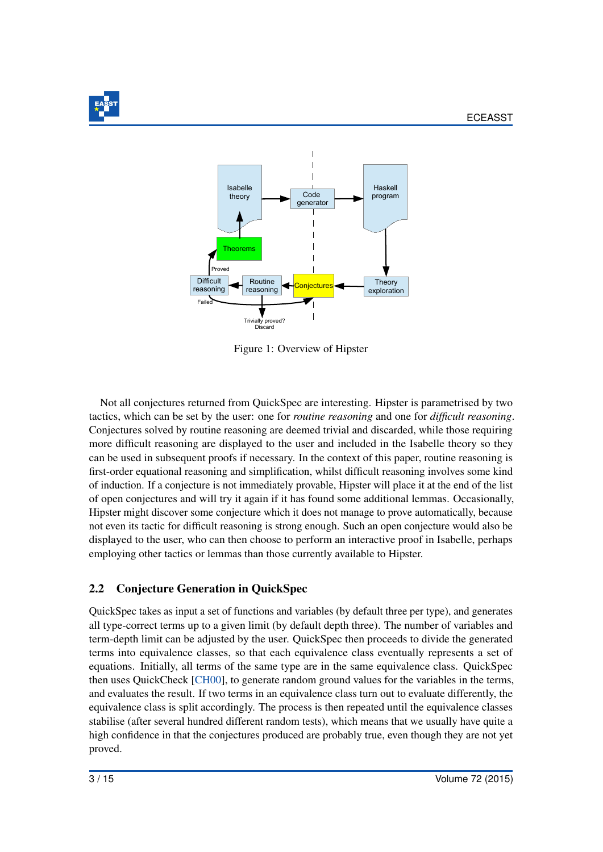<span id="page-3-0"></span>



Figure 1: Overview of Hipster

Not all conjectures returned from QuickSpec are interesting. Hipster is parametrised by two tactics, which can be set by the user: one for *routine reasoning* and one for *difficult reasoning*. Conjectures solved by routine reasoning are deemed trivial and discarded, while those requiring more difficult reasoning are displayed to the user and included in the Isabelle theory so they can be used in subsequent proofs if necessary. In the context of this paper, routine reasoning is first-order equational reasoning and simplification, whilst difficult reasoning involves some kind of induction. If a conjecture is not immediately provable, Hipster will place it at the end of the list of open conjectures and will try it again if it has found some additional lemmas. Occasionally, Hipster might discover some conjecture which it does not manage to prove automatically, because not even its tactic for difficult reasoning is strong enough. Such an open conjecture would also be displayed to the user, who can then choose to perform an interactive proof in Isabelle, perhaps employing other tactics or lemmas than those currently available to Hipster.

# 2.2 Conjecture Generation in QuickSpec

QuickSpec takes as input a set of functions and variables (by default three per type), and generates all type-correct terms up to a given limit (by default depth three). The number of variables and term-depth limit can be adjusted by the user. QuickSpec then proceeds to divide the generated terms into equivalence classes, so that each equivalence class eventually represents a set of equations. Initially, all terms of the same type are in the same equivalence class. QuickSpec then uses QuickCheck [\[CH00\]](#page-14-3), to generate random ground values for the variables in the terms, and evaluates the result. If two terms in an equivalence class turn out to evaluate differently, the equivalence class is split accordingly. The process is then repeated until the equivalence classes stabilise (after several hundred different random tests), which means that we usually have quite a high confidence in that the conjectures produced are probably true, even though they are not yet proved.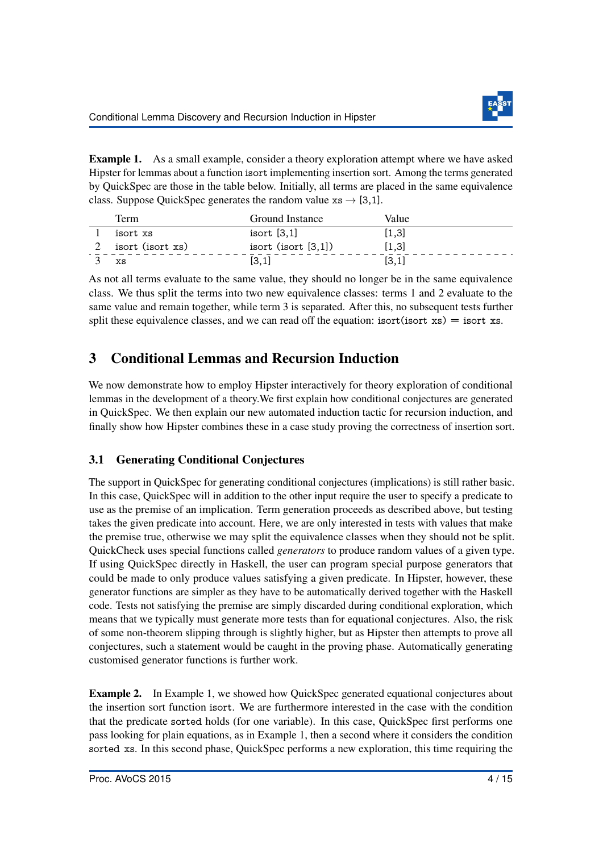

Example 1. As a small example, consider a theory exploration attempt where we have asked Hipster for lemmas about a function isort implementing insertion sort. Among the terms generated by QuickSpec are those in the table below. Initially, all terms are placed in the same equivalence class. Suppose QuickSpec generates the random value  $xs \rightarrow [3,1]$ .

| Term             | Ground Instance       | Value |
|------------------|-----------------------|-------|
| isort xs         | isort [3,1]           | [1,3] |
| isort (isort xs) | isort $(isort [3,1])$ | [1,3] |
| XS               | [3,1]                 | [3,1] |

As not all terms evaluate to the same value, they should no longer be in the same equivalence class. We thus split the terms into two new equivalence classes: terms 1 and 2 evaluate to the same value and remain together, while term 3 is separated. After this, no subsequent tests further split these equivalence classes, and we can read off the equation: isort(isort  $xs$ ) = isort xs.

# <span id="page-4-1"></span>3 Conditional Lemmas and Recursion Induction

We now demonstrate how to employ Hipster interactively for theory exploration of conditional lemmas in the development of a theory.We first explain how conditional conjectures are generated in QuickSpec. We then explain our new automated induction tactic for recursion induction, and finally show how Hipster combines these in a case study proving the correctness of insertion sort.

# <span id="page-4-2"></span>3.1 Generating Conditional Conjectures

The support in QuickSpec for generating conditional conjectures (implications) is still rather basic. In this case, QuickSpec will in addition to the other input require the user to specify a predicate to use as the premise of an implication. Term generation proceeds as described above, but testing takes the given predicate into account. Here, we are only interested in tests with values that make the premise true, otherwise we may split the equivalence classes when they should not be split. QuickCheck uses special functions called *generators* to produce random values of a given type. If using QuickSpec directly in Haskell, the user can program special purpose generators that could be made to only produce values satisfying a given predicate. In Hipster, however, these generator functions are simpler as they have to be automatically derived together with the Haskell code. Tests not satisfying the premise are simply discarded during conditional exploration, which means that we typically must generate more tests than for equational conjectures. Also, the risk of some non-theorem slipping through is slightly higher, but as Hipster then attempts to prove all conjectures, such a statement would be caught in the proving phase. Automatically generating customised generator functions is further work.

<span id="page-4-0"></span>Example 2. In Example 1, we showed how QuickSpec generated equational conjectures about the insertion sort function isort. We are furthermore interested in the case with the condition that the predicate sorted holds (for one variable). In this case, QuickSpec first performs one pass looking for plain equations, as in Example 1, then a second where it considers the condition sorted xs. In this second phase, QuickSpec performs a new exploration, this time requiring the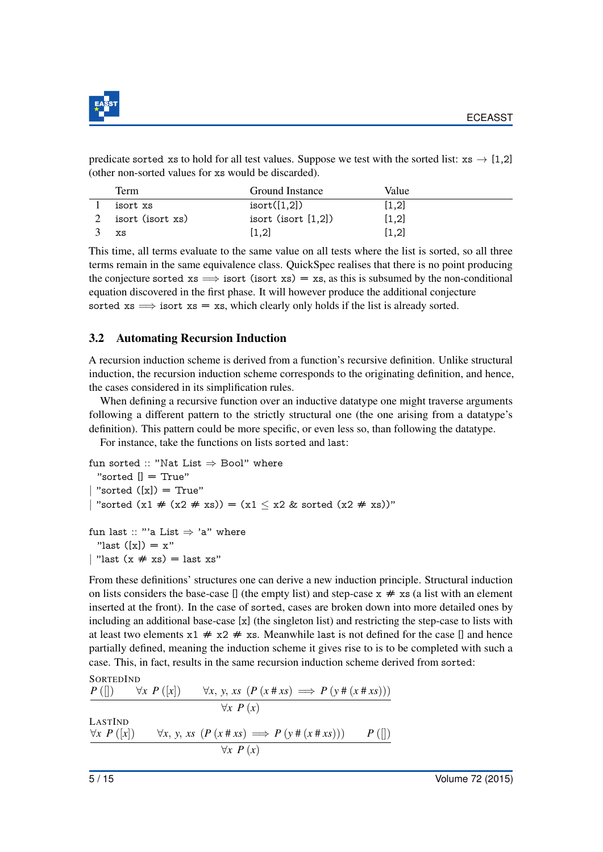

predicate sorted xs to hold for all test values. Suppose we test with the sorted list:  $xs \rightarrow [1,2]$ (other non-sorted values for xs would be discarded).

| Term             | Ground Instance       | Value |
|------------------|-----------------------|-------|
| isort xs         | isort([1,2])          | [1,2] |
| isort (isort xs) | isort $(isort [1,2])$ | [1,2] |
| XS               | [1,2]                 | [1,2] |

This time, all terms evaluate to the same value on all tests where the list is sorted, so all three terms remain in the same equivalence class. QuickSpec realises that there is no point producing the conjecture sorted  $xs \implies$  isort (isort  $xs$ ) = xs, as this is subsumed by the non-conditional equation discovered in the first phase. It will however produce the additional conjecture sorted xs  $\implies$  isort xs = xs, which clearly only holds if the list is already sorted.

#### <span id="page-5-0"></span>3.2 Automating Recursion Induction

A recursion induction scheme is derived from a function's recursive definition. Unlike structural induction, the recursion induction scheme corresponds to the originating definition, and hence, the cases considered in its simplification rules.

When defining a recursive function over an inductive datatype one might traverse arguments following a different pattern to the strictly structural one (the one arising from a datatype's definition). This pattern could be more specific, or even less so, than following the datatype.

For instance, take the functions on lists sorted and last:

```
fun sorted :: "Nat List \Rightarrow Bool" where
  "sorted \mathcal{L} = \text{True}"
 "sorted ([x]) = True""sorted (x1 \# (x2 \# xs)) = (x1 \le x2 \& sorted (x2 \# xs))"
fun last :: "'a List \Rightarrow 'a" where
```
"last  $([x]) = x$ "

```
| "last (x \# xs) = last xs"
```
From these definitions' structures one can derive a new induction principle. Structural induction on lists considers the base-case  $\iint$  (the empty list) and step-case  $x \neq x$  is (a list with an element inserted at the front). In the case of sorted, cases are broken down into more detailed ones by including an additional base-case [x] (the singleton list) and restricting the step-case to lists with at least two elements  $x1 \neq x2 \neq xs$ . Meanwhile last is not defined for the case [] and hence partially defined, meaning the induction scheme it gives rise to is to be completed with such a case. This, in fact, results in the same recursion induction scheme derived from sorted:

```
SORTEDIND
P ([]) ∀x P ([x]) ∀x, y, xs (P (x # xs) =⇒ P (y # (x # xs)))
                         ∀x P (x)
LASTIND
∀x P([x]) ∀x, y, xs (P(x# xs) ⇒ P(y#(x# xs))) P([x])∀x P (x)
```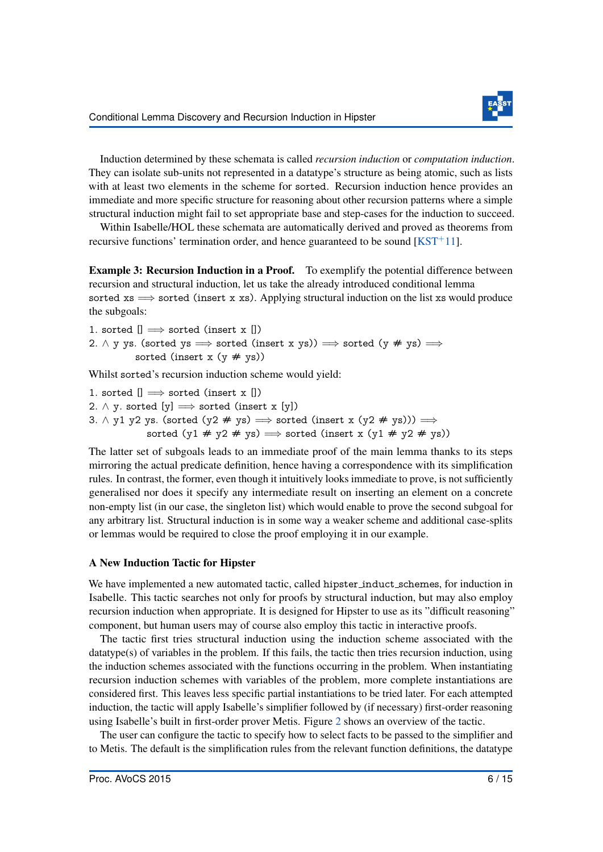

Induction determined by these schemata is called *recursion induction* or *computation induction*. They can isolate sub-units not represented in a datatype's structure as being atomic, such as lists with at least two elements in the scheme for sorted. Recursion induction hence provides an immediate and more specific structure for reasoning about other recursion patterns where a simple structural induction might fail to set appropriate base and step-cases for the induction to succeed.

Within Isabelle/HOL these schemata are automatically derived and proved as theorems from recursive functions' termination order, and hence guaranteed to be sound  $[KST^+11]$  $[KST^+11]$ .

Example 3: Recursion Induction in a Proof. To exemplify the potential difference between recursion and structural induction, let us take the already introduced conditional lemma sorted  $xs \implies$  sorted (insert x xs). Applying structural induction on the list xs would produce the subgoals:

1. sorted  $[] \implies$  sorted (insert x  $[]$ ) 2.  $\land$  y ys. (sorted ys  $\implies$  sorted (insert x ys))  $\implies$  sorted (y # ys)  $\implies$ sorted (insert x  $(y \# ys)$ )

Whilst sorted's recursion induction scheme would yield:

- 1. sorted  $[] \implies$  sorted (insert x  $[]$ )
- 2.  $\land$  y. sorted [y]  $\implies$  sorted (insert x [y])
- 3.  $\land$  y1 y2 ys. (sorted (y2 # ys)  $\implies$  sorted (insert x (y2 # ys)))  $\implies$ 
	- sorted  $(y1 \# y2 \# ys) \Longrightarrow$  sorted (insert x  $(y1 \# y2 \# ys)$ )

The latter set of subgoals leads to an immediate proof of the main lemma thanks to its steps mirroring the actual predicate definition, hence having a correspondence with its simplification rules. In contrast, the former, even though it intuitively looks immediate to prove, is not sufficiently generalised nor does it specify any intermediate result on inserting an element on a concrete non-empty list (in our case, the singleton list) which would enable to prove the second subgoal for any arbitrary list. Structural induction is in some way a weaker scheme and additional case-splits or lemmas would be required to close the proof employing it in our example.

#### A New Induction Tactic for Hipster

We have implemented a new automated tactic, called hipster induct schemes, for induction in Isabelle. This tactic searches not only for proofs by structural induction, but may also employ recursion induction when appropriate. It is designed for Hipster to use as its "difficult reasoning" component, but human users may of course also employ this tactic in interactive proofs.

The tactic first tries structural induction using the induction scheme associated with the datatype(s) of variables in the problem. If this fails, the tactic then tries recursion induction, using the induction schemes associated with the functions occurring in the problem. When instantiating recursion induction schemes with variables of the problem, more complete instantiations are considered first. This leaves less specific partial instantiations to be tried later. For each attempted induction, the tactic will apply Isabelle's simplifier followed by (if necessary) first-order reasoning using Isabelle's built in first-order prover Metis. Figure [2](#page-7-0) shows an overview of the tactic.

The user can configure the tactic to specify how to select facts to be passed to the simplifier and to Metis. The default is the simplification rules from the relevant function definitions, the datatype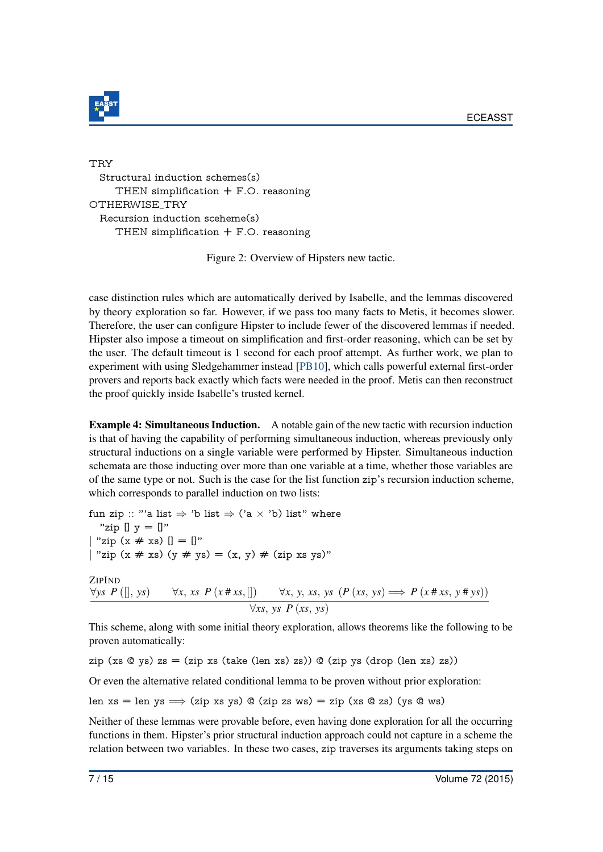

<span id="page-7-0"></span>TRY Structural induction schemes(s) THEN simplification  $+$  F.O. reasoning OTHERWISE TRY Recursion induction sceheme(s) THEN simplification  $+$  F.O. reasoning

Figure 2: Overview of Hipsters new tactic.

case distinction rules which are automatically derived by Isabelle, and the lemmas discovered by theory exploration so far. However, if we pass too many facts to Metis, it becomes slower. Therefore, the user can configure Hipster to include fewer of the discovered lemmas if needed. Hipster also impose a timeout on simplification and first-order reasoning, which can be set by the user. The default timeout is 1 second for each proof attempt. As further work, we plan to experiment with using Sledgehammer instead [\[PB10\]](#page-15-6), which calls powerful external first-order provers and reports back exactly which facts were needed in the proof. Metis can then reconstruct the proof quickly inside Isabelle's trusted kernel.

Example 4: Simultaneous Induction. A notable gain of the new tactic with recursion induction is that of having the capability of performing simultaneous induction, whereas previously only structural inductions on a single variable were performed by Hipster. Simultaneous induction schemata are those inducting over more than one variable at a time, whether those variables are of the same type or not. Such is the case for the list function zip's recursion induction scheme, which corresponds to parallel induction on two lists:

fun zip :: "'a list  $\Rightarrow$  'b list  $\Rightarrow$  ('a  $\times$  'b) list" where "zip  $[] y = []$ " | "zip  $(x \# xs)$   $[] = []$ " | "zip (x # xs) (y # ys) = (x, y) # (zip xs ys)" **ZIPIND**  $\forall$ *ys*  $P([\,, ys) \quad \forall x, xs \ P(x \# xs, []) \quad \forall x, y, xs, ys \ (P (xs, ys) \Longrightarrow P (x \# xs, y \# ys))$ ∀*xs*, *ys P* (*xs*, *ys*)

This scheme, along with some initial theory exploration, allows theorems like the following to be proven automatically:

zip (xs  $Q$  ys) zs = (zip xs (take (len xs) zs))  $Q$  (zip ys (drop (len xs) zs))

Or even the alternative related conditional lemma to be proven without prior exploration:

len xs = len ys  $\Rightarrow$  (zip xs ys) @ (zip zs ws) = zip (xs @ zs) (ys @ ws)

Neither of these lemmas were provable before, even having done exploration for all the occurring functions in them. Hipster's prior structural induction approach could not capture in a scheme the relation between two variables. In these two cases, zip traverses its arguments taking steps on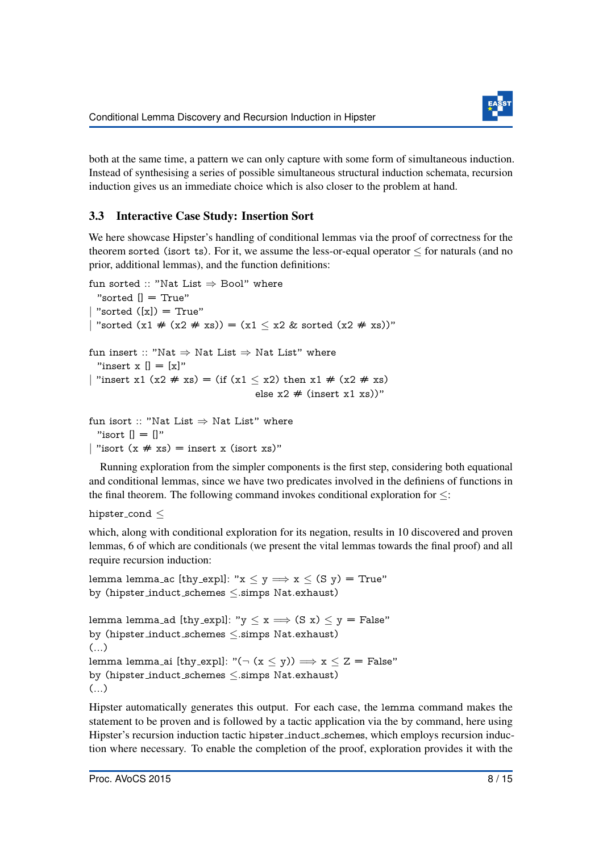

both at the same time, a pattern we can only capture with some form of simultaneous induction. Instead of synthesising a series of possible simultaneous structural induction schemata, recursion induction gives us an immediate choice which is also closer to the problem at hand.

### 3.3 Interactive Case Study: Insertion Sort

We here showcase Hipster's handling of conditional lemmas via the proof of correctness for the theorem sorted (isort ts). For it, we assume the less-or-equal operator  $\leq$  for naturals (and no prior, additional lemmas), and the function definitions:

```
fun sorted :: "Nat List \Rightarrow Bool" where
 "sorted [] = True"| "sorted ([x]) = True"
| "sorted (x1 \# (x2 \# xs)) = (x1 \le x2 \& sorted (x2 \# xs))"
fun insert :: "Nat \Rightarrow Nat List \Rightarrow Nat List" where
 "insert x \theta = \lceil x \rceil"
| "insert x1 (x2 # xs) = (if (x1 < x2) then x1 # (x2 # xs)
                                      else x2 \neq (insert x1 xs))"
fun isort :: "Nat List \Rightarrow Nat List" where
 "isort [] = []"
| "isort (x \# xs) = insert x (isort xs)"
```
Running exploration from the simpler components is the first step, considering both equational and conditional lemmas, since we have two predicates involved in the definiens of functions in the final theorem. The following command invokes conditional exploration for  $\leq$ :

hipster\_cond $\leq$ 

which, along with conditional exploration for its negation, results in 10 discovered and proven lemmas, 6 of which are conditionals (we present the vital lemmas towards the final proof) and all require recursion induction:

lemma lemma ac [thy\_expl]: " $x \le y \implies x \le (S \ y) = True$ " by (hipster induct schemes ≤.simps Nat.exhaust)

lemma lemma ad [thy\_expl]: " $y \le x \implies (S x) \le y = False$ " by (hipster induct schemes ≤.simps Nat.exhaust) (...) lemma lemma ai [thy\_expl]: " $(\neg (x \le y)) \implies x \le Z$  = False" by (hipster induct schemes ≤.simps Nat.exhaust)  $\left( \ldots \right)$ 

Hipster automatically generates this output. For each case, the lemma command makes the statement to be proven and is followed by a tactic application via the by command, here using Hipster's recursion induction tactic hipster induct schemes, which employs recursion induction where necessary. To enable the completion of the proof, exploration provides it with the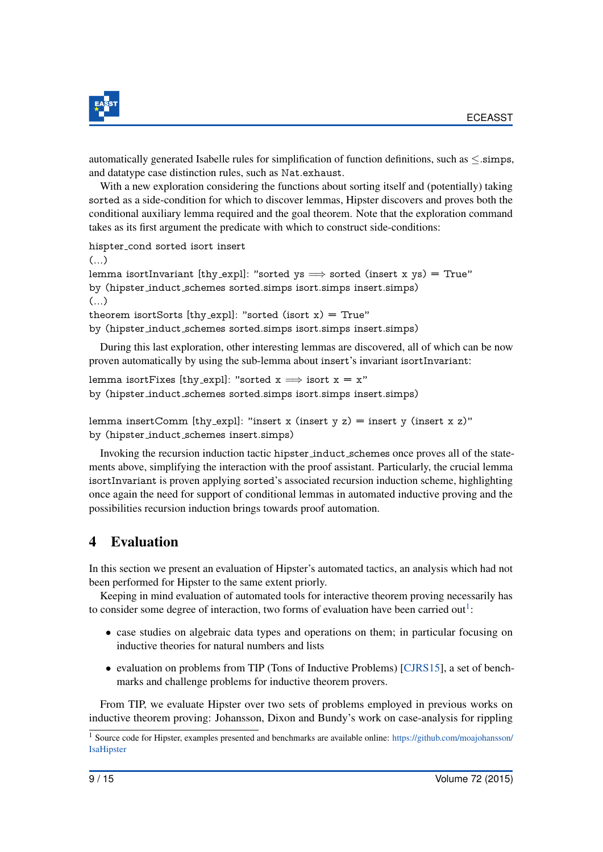

automatically generated Isabelle rules for simplification of function definitions, such as ≤.simps, and datatype case distinction rules, such as Nat.exhaust.

With a new exploration considering the functions about sorting itself and (potentially) taking sorted as a side-condition for which to discover lemmas, Hipster discovers and proves both the conditional auxiliary lemma required and the goal theorem. Note that the exploration command takes as its first argument the predicate with which to construct side-conditions:

hispter cond sorted isort insert

(...) lemma isortInvariant [thy\_expl]: "sorted ys  $\implies$  sorted (insert x ys) = True" by (hipster induct schemes sorted.simps isort.simps insert.simps)  $\left( \ldots \right)$ theorem isortSorts [thy\_expl]: "sorted (isort  $x$ ) = True" by (hipster induct schemes sorted.simps isort.simps insert.simps)

During this last exploration, other interesting lemmas are discovered, all of which can be now proven automatically by using the sub-lemma about insert's invariant isortInvariant:

lemma isortFixes [thy\_expl]: "sorted  $x \implies$  isort  $x = x$ " by (hipster induct schemes sorted.simps isort.simps insert.simps)

```
lemma insertComm [thy_expl]: "insert x (insert y z) = insert y (insert x z)"
by (hipster induct schemes insert.simps)
```
Invoking the recursion induction tactic hipster induct schemes once proves all of the statements above, simplifying the interaction with the proof assistant. Particularly, the crucial lemma isortInvariant is proven applying sorted's associated recursion induction scheme, highlighting once again the need for support of conditional lemmas in automated inductive proving and the possibilities recursion induction brings towards proof automation.

# 4 Evaluation

In this section we present an evaluation of Hipster's automated tactics, an analysis which had not been performed for Hipster to the same extent priorly.

Keeping in mind evaluation of automated tools for interactive theorem proving necessarily has to consider some degree of interaction, two forms of evaluation have been carried out<sup>[1](#page-9-0)</sup>:

- case studies on algebraic data types and operations on them; in particular focusing on inductive theories for natural numbers and lists
- evaluation on problems from TIP (Tons of Inductive Problems) [\[CJRS15\]](#page-14-4), a set of benchmarks and challenge problems for inductive theorem provers.

From TIP, we evaluate Hipster over two sets of problems employed in previous works on inductive theorem proving: Johansson, Dixon and Bundy's work on case-analysis for rippling

<span id="page-9-0"></span><sup>&</sup>lt;sup>1</sup> Source code for Hipster, examples presented and benchmarks are available online: [https://github.com/moajohansson/](https://github.com/moajohansson/IsaHipster) [IsaHipster](https://github.com/moajohansson/IsaHipster)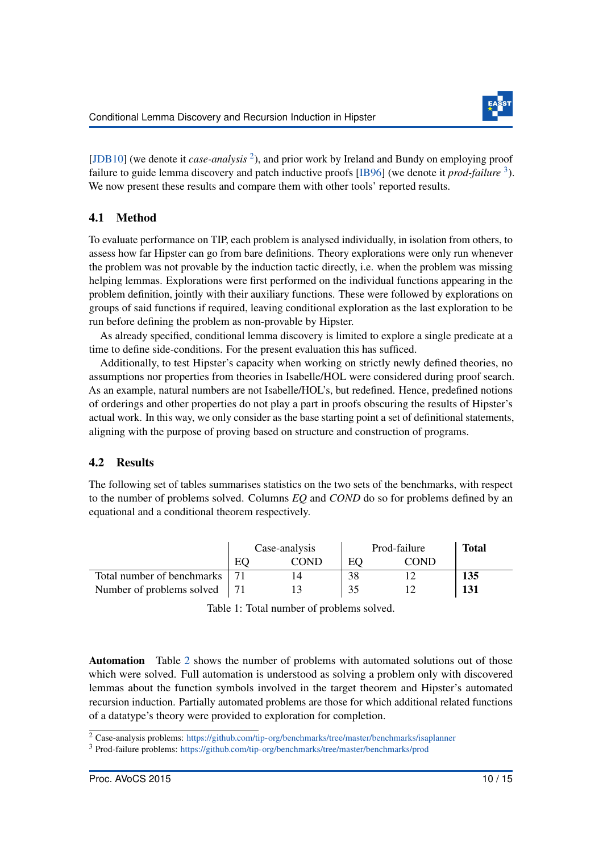

[\[JDB10\]](#page-15-7) (we denote it *case-analysis*<sup>[2](#page-10-0)</sup>), and prior work by Ireland and Bundy on employing proof failure to guide lemma discovery and patch inductive proofs [\[IB96\]](#page-15-8) (we denote it *prod-failure* [3](#page-10-1) ). We now present these results and compare them with other tools' reported results.

# 4.1 Method

To evaluate performance on TIP, each problem is analysed individually, in isolation from others, to assess how far Hipster can go from bare definitions. Theory explorations were only run whenever the problem was not provable by the induction tactic directly, i.e. when the problem was missing helping lemmas. Explorations were first performed on the individual functions appearing in the problem definition, jointly with their auxiliary functions. These were followed by explorations on groups of said functions if required, leaving conditional exploration as the last exploration to be run before defining the problem as non-provable by Hipster.

As already specified, conditional lemma discovery is limited to explore a single predicate at a time to define side-conditions. For the present evaluation this has sufficed.

Additionally, to test Hipster's capacity when working on strictly newly defined theories, no assumptions nor properties from theories in Isabelle/HOL were considered during proof search. As an example, natural numbers are not Isabelle/HOL's, but redefined. Hence, predefined notions of orderings and other properties do not play a part in proofs obscuring the results of Hipster's actual work. In this way, we only consider as the base starting point a set of definitional statements, aligning with the purpose of proving based on structure and construction of programs.

### 4.2 Results

The following set of tables summarises statistics on the two sets of the benchmarks, with respect to the number of problems solved. Columns *EQ* and *COND* do so for problems defined by an equational and a conditional theorem respectively.

|                            |            | Case-analysis | Prod-failure | <b>Total</b> |     |
|----------------------------|------------|---------------|--------------|--------------|-----|
|                            | EС<br>COND |               | ЕC           | COND         |     |
| Total number of benchmarks |            |               | 38           |              | 135 |
| Number of problems solved  |            |               | 35           |              | 131 |

Table 1: Total number of problems solved.

Automation Table [2](#page-11-0) shows the number of problems with automated solutions out of those which were solved. Full automation is understood as solving a problem only with discovered lemmas about the function symbols involved in the target theorem and Hipster's automated recursion induction. Partially automated problems are those for which additional related functions of a datatype's theory were provided to exploration for completion.

<span id="page-10-0"></span><sup>2</sup> Case-analysis problems: <https://github.com/tip-org/benchmarks/tree/master/benchmarks/isaplanner>

<span id="page-10-1"></span><sup>3</sup> Prod-failure problems: <https://github.com/tip-org/benchmarks/tree/master/benchmarks/prod>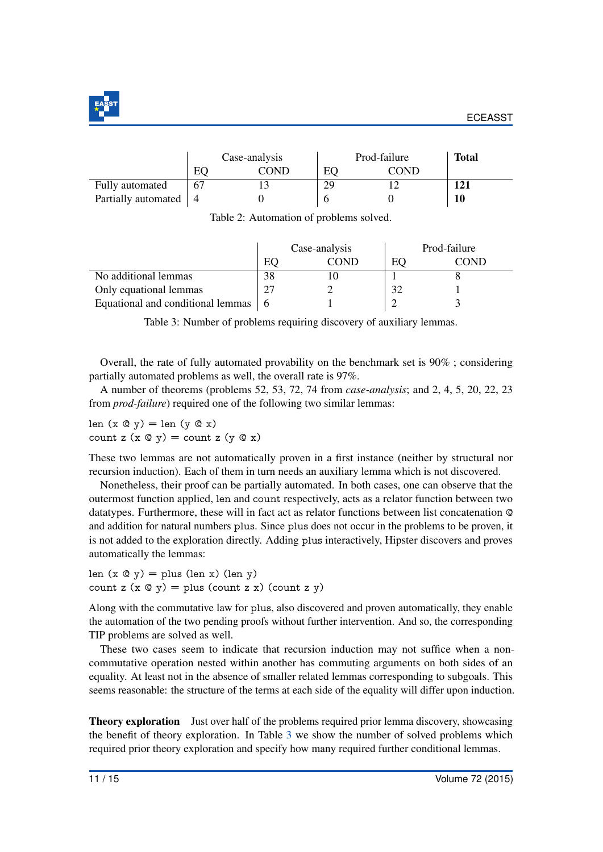

<span id="page-11-0"></span>

|                     |    | Case-analysis |    | Prod-failure | <b>Total</b> |
|---------------------|----|---------------|----|--------------|--------------|
|                     | EС | COND          | EO | COND         |              |
| Fully automated     | 67 |               | 29 |              | 121          |
| Partially automated |    |               |    |              | 10           |

Table 2: Automation of problems solved.

<span id="page-11-1"></span>

|                                   |    | Case-analysis | Prod-failure   |      |  |
|-----------------------------------|----|---------------|----------------|------|--|
|                                   | E0 | COND          | EО             | COND |  |
| No additional lemmas              | 38 |               |                |      |  |
| Only equational lemmas            |    |               | $\mathfrak{D}$ |      |  |
| Equational and conditional lemmas |    |               |                |      |  |

Table 3: Number of problems requiring discovery of auxiliary lemmas.

Overall, the rate of fully automated provability on the benchmark set is 90% ; considering partially automated problems as well, the overall rate is 97%.

A number of theorems (problems 52, 53, 72, 74 from *case-analysis*; and 2, 4, 5, 20, 22, 23 from *prod-failure*) required one of the following two similar lemmas:

len  $(x \oslash y) = \text{len} (y \oslash x)$ count z  $(x \otimes y) =$  count z  $(y \otimes x)$ 

These two lemmas are not automatically proven in a first instance (neither by structural nor recursion induction). Each of them in turn needs an auxiliary lemma which is not discovered.

Nonetheless, their proof can be partially automated. In both cases, one can observe that the outermost function applied, len and count respectively, acts as a relator function between two datatypes. Furthermore, these will in fact act as relator functions between list concatenation @ and addition for natural numbers plus. Since plus does not occur in the problems to be proven, it is not added to the exploration directly. Adding plus interactively, Hipster discovers and proves automatically the lemmas:

len  $(x \circ y) =$ plus (len x) (len y) count z  $(x \circ y) =$  plus (count z x) (count z y)

Along with the commutative law for plus, also discovered and proven automatically, they enable the automation of the two pending proofs without further intervention. And so, the corresponding TIP problems are solved as well.

These two cases seem to indicate that recursion induction may not suffice when a noncommutative operation nested within another has commuting arguments on both sides of an equality. At least not in the absence of smaller related lemmas corresponding to subgoals. This seems reasonable: the structure of the terms at each side of the equality will differ upon induction.

Theory exploration Just over half of the problems required prior lemma discovery, showcasing the benefit of theory exploration. In Table [3](#page-11-1) we show the number of solved problems which required prior theory exploration and specify how many required further conditional lemmas.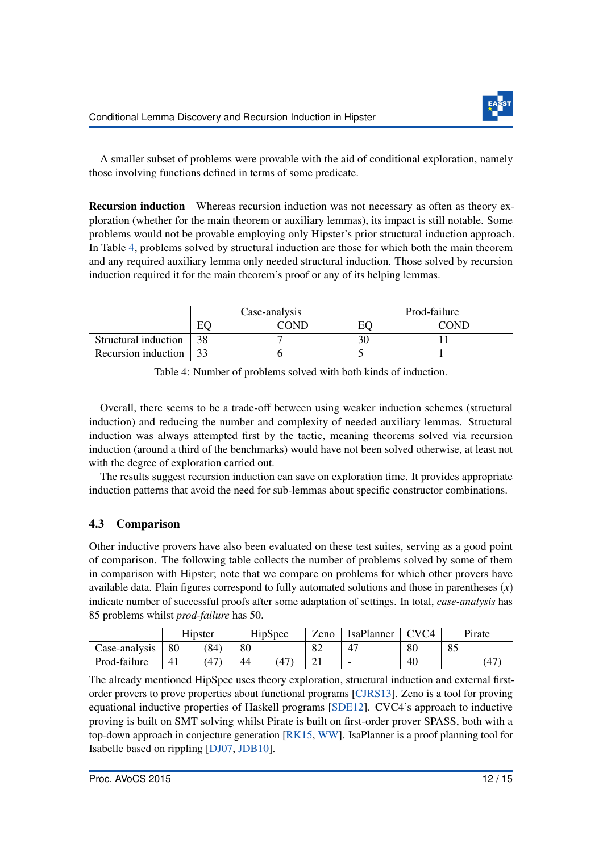

A smaller subset of problems were provable with the aid of conditional exploration, namely those involving functions defined in terms of some predicate.

Recursion induction Whereas recursion induction was not necessary as often as theory exploration (whether for the main theorem or auxiliary lemmas), its impact is still notable. Some problems would not be provable employing only Hipster's prior structural induction approach. In Table [4,](#page-12-0) problems solved by structural induction are those for which both the main theorem and any required auxiliary lemma only needed structural induction. Those solved by recursion induction required it for the main theorem's proof or any of its helping lemmas.

<span id="page-12-0"></span>

|                                |     | Case-analysis | Prod-failure |      |  |
|--------------------------------|-----|---------------|--------------|------|--|
|                                | EC  | COND          | EO           | COND |  |
| Structural induction           | -38 |               | 30           |      |  |
| Recursion induction $\vert$ 33 |     |               |              |      |  |

Table 4: Number of problems solved with both kinds of induction.

Overall, there seems to be a trade-off between using weaker induction schemes (structural induction) and reducing the number and complexity of needed auxiliary lemmas. Structural induction was always attempted first by the tactic, meaning theorems solved via recursion induction (around a third of the benchmarks) would have not been solved otherwise, at least not with the degree of exploration carried out.

The results suggest recursion induction can save on exploration time. It provides appropriate induction patterns that avoid the need for sub-lemmas about specific constructor combinations.

# 4.3 Comparison

Other inductive provers have also been evaluated on these test suites, serving as a good point of comparison. The following table collects the number of problems solved by some of them in comparison with Hipster; note that we compare on problems for which other provers have available data. Plain figures correspond to fully automated solutions and those in parentheses  $(x)$ indicate number of successful proofs after some adaptation of settings. In total, *case-analysis* has 85 problems whilst *prod-failure* has 50.

|                    | Hipster |      | HipSpec |      |    | Zeno   IsaPlanner   CVC4 |    | Pirate |
|--------------------|---------|------|---------|------|----|--------------------------|----|--------|
| Case-analysis   80 |         | (84) | -80     |      | 82 | 4 <sup>7</sup>           | 80 | 85     |
| Prod-failure       | -41     | (47) | -44     | (47) |    |                          | 40 |        |

The already mentioned HipSpec uses theory exploration, structural induction and external firstorder provers to prove properties about functional programs [\[CJRS13\]](#page-14-0). Zeno is a tool for proving equational inductive properties of Haskell programs [\[SDE12\]](#page-15-9). CVC4's approach to inductive proving is built on SMT solving whilst Pirate is built on first-order prover SPASS, both with a top-down approach in conjecture generation [\[RK15,](#page-15-10) [WW\]](#page-15-11). IsaPlanner is a proof planning tool for Isabelle based on rippling [\[DJ07,](#page-14-5) [JDB10\]](#page-15-7).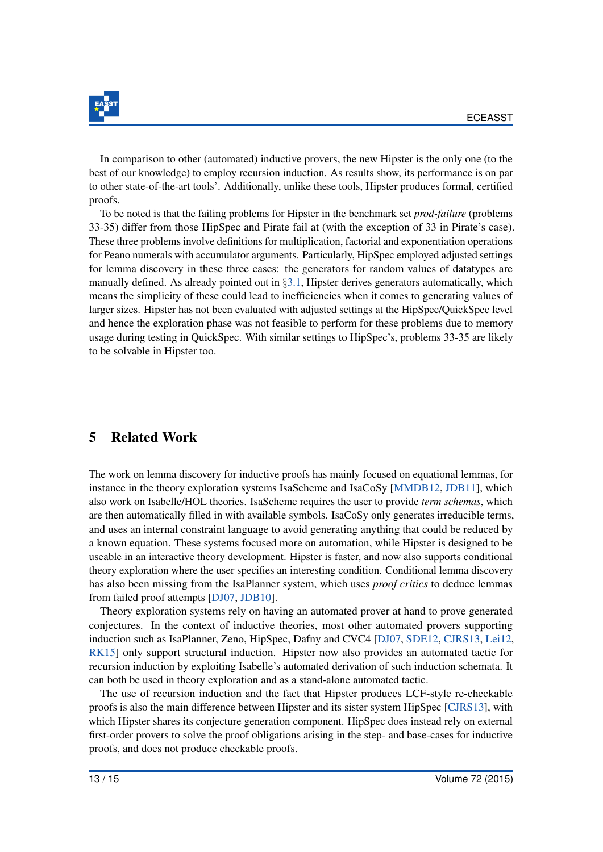

In comparison to other (automated) inductive provers, the new Hipster is the only one (to the best of our knowledge) to employ recursion induction. As results show, its performance is on par to other state-of-the-art tools'. Additionally, unlike these tools, Hipster produces formal, certified proofs.

To be noted is that the failing problems for Hipster in the benchmark set *prod-failure* (problems 33-35) differ from those HipSpec and Pirate fail at (with the exception of 33 in Pirate's case). These three problems involve definitions for multiplication, factorial and exponentiation operations for Peano numerals with accumulator arguments. Particularly, HipSpec employed adjusted settings for lemma discovery in these three cases: the generators for random values of datatypes are manually defined. As already pointed out in §[3.1,](#page-4-2) Hipster derives generators automatically, which means the simplicity of these could lead to inefficiencies when it comes to generating values of larger sizes. Hipster has not been evaluated with adjusted settings at the HipSpec/QuickSpec level and hence the exploration phase was not feasible to perform for these problems due to memory usage during testing in QuickSpec. With similar settings to HipSpec's, problems 33-35 are likely to be solvable in Hipster too.

# 5 Related Work

The work on lemma discovery for inductive proofs has mainly focused on equational lemmas, for instance in the theory exploration systems IsaScheme and IsaCoSy [\[MMDB12,](#page-15-2) [JDB11\]](#page-15-1), which also work on Isabelle/HOL theories. IsaScheme requires the user to provide *term schemas*, which are then automatically filled in with available symbols. IsaCoSy only generates irreducible terms, and uses an internal constraint language to avoid generating anything that could be reduced by a known equation. These systems focused more on automation, while Hipster is designed to be useable in an interactive theory development. Hipster is faster, and now also supports conditional theory exploration where the user specifies an interesting condition. Conditional lemma discovery has also been missing from the IsaPlanner system, which uses *proof critics* to deduce lemmas from failed proof attempts [\[DJ07,](#page-14-5) [JDB10\]](#page-15-7).

Theory exploration systems rely on having an automated prover at hand to prove generated conjectures. In the context of inductive theories, most other automated provers supporting induction such as IsaPlanner, Zeno, HipSpec, Dafny and CVC4 [\[DJ07,](#page-14-5) [SDE12,](#page-15-9) [CJRS13,](#page-14-0) [Lei12,](#page-15-12) [RK15\]](#page-15-10) only support structural induction. Hipster now also provides an automated tactic for recursion induction by exploiting Isabelle's automated derivation of such induction schemata. It can both be used in theory exploration and as a stand-alone automated tactic.

The use of recursion induction and the fact that Hipster produces LCF-style re-checkable proofs is also the main difference between Hipster and its sister system HipSpec [\[CJRS13\]](#page-14-0), with which Hipster shares its conjecture generation component. HipSpec does instead rely on external first-order provers to solve the proof obligations arising in the step- and base-cases for inductive proofs, and does not produce checkable proofs.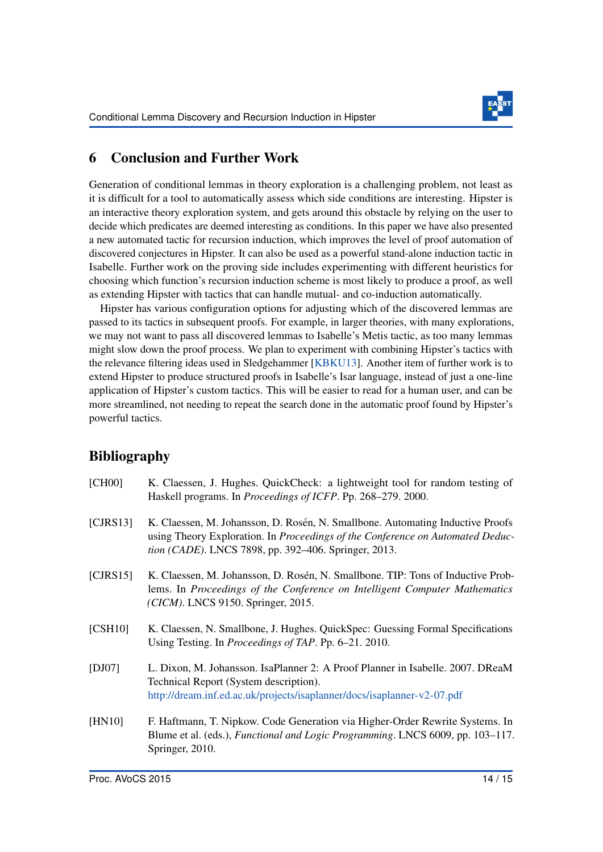

# 6 Conclusion and Further Work

Generation of conditional lemmas in theory exploration is a challenging problem, not least as it is difficult for a tool to automatically assess which side conditions are interesting. Hipster is an interactive theory exploration system, and gets around this obstacle by relying on the user to decide which predicates are deemed interesting as conditions. In this paper we have also presented a new automated tactic for recursion induction, which improves the level of proof automation of discovered conjectures in Hipster. It can also be used as a powerful stand-alone induction tactic in Isabelle. Further work on the proving side includes experimenting with different heuristics for choosing which function's recursion induction scheme is most likely to produce a proof, as well as extending Hipster with tactics that can handle mutual- and co-induction automatically.

Hipster has various configuration options for adjusting which of the discovered lemmas are passed to its tactics in subsequent proofs. For example, in larger theories, with many explorations, we may not want to pass all discovered lemmas to Isabelle's Metis tactic, as too many lemmas might slow down the proof process. We plan to experiment with combining Hipster's tactics with the relevance filtering ideas used in Sledgehammer [\[KBKU13\]](#page-15-13). Another item of further work is to extend Hipster to produce structured proofs in Isabelle's Isar language, instead of just a one-line application of Hipster's custom tactics. This will be easier to read for a human user, and can be more streamlined, not needing to repeat the search done in the automatic proof found by Hipster's powerful tactics.

# Bibliography

<span id="page-14-5"></span><span id="page-14-4"></span><span id="page-14-3"></span><span id="page-14-2"></span><span id="page-14-1"></span><span id="page-14-0"></span>

| [CH00]   | K. Claessen, J. Hughes. QuickCheck: a lightweight tool for random testing of<br>Haskell programs. In <i>Proceedings of ICFP</i> . Pp. 268–279. 2000.                                                                             |
|----------|----------------------------------------------------------------------------------------------------------------------------------------------------------------------------------------------------------------------------------|
| [CIRS13] | K. Claessen, M. Johansson, D. Rosén, N. Smallbone. Automating Inductive Proofs<br>using Theory Exploration. In Proceedings of the Conference on Automated Deduc-<br><i>tion (CADE)</i> . LNCS 7898, pp. 392–406. Springer, 2013. |
| [CIRS15] | K. Claessen, M. Johansson, D. Rosén, N. Smallbone. TIP: Tons of Inductive Prob-<br>lems. In Proceedings of the Conference on Intelligent Computer Mathematics<br>(CICM). LNCS 9150. Springer, 2015.                              |
| [CSH10]  | K. Claessen, N. Smallbone, J. Hughes. QuickSpec: Guessing Formal Specifications<br>Using Testing. In <i>Proceedings of TAP</i> . Pp. 6–21. 2010.                                                                                 |
| [DJ07]   | L. Dixon, M. Johansson. IsaPlanner 2: A Proof Planner in Isabelle. 2007. DReaM<br>Technical Report (System description).<br>http://dream.inf.ed.ac.uk/projects/isaplanner/docs/isaplanner-v2-07.pdf                              |
| [HN10]   | F. Haftmann, T. Nipkow. Code Generation via Higher-Order Rewrite Systems. In<br>Blume et al. (eds.), <i>Functional and Logic Programming</i> . LNCS 6009, pp. 103–117.<br>Springer, 2010.                                        |